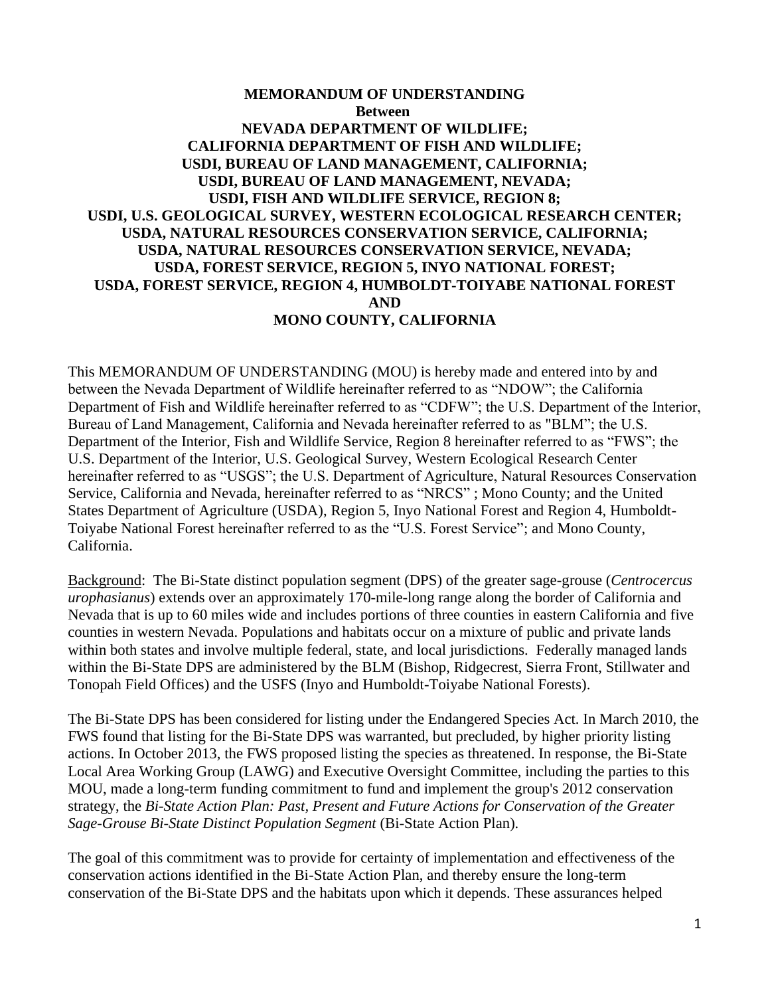### **MEMORANDUM OF UNDERSTANDING Between NEVADA DEPARTMENT OF WILDLIFE; CALIFORNIA DEPARTMENT OF FISH AND WILDLIFE; USDI, BUREAU OF LAND MANAGEMENT, CALIFORNIA; USDI, BUREAU OF LAND MANAGEMENT, NEVADA; USDI, FISH AND WILDLIFE SERVICE, REGION 8; USDI, U.S. GEOLOGICAL SURVEY, WESTERN ECOLOGICAL RESEARCH CENTER; USDA, NATURAL RESOURCES CONSERVATION SERVICE, CALIFORNIA; USDA, NATURAL RESOURCES CONSERVATION SERVICE, NEVADA; USDA, FOREST SERVICE, REGION 5, INYO NATIONAL FOREST; USDA, FOREST SERVICE, REGION 4, HUMBOLDT-TOIYABE NATIONAL FOREST AND MONO COUNTY, CALIFORNIA**

This MEMORANDUM OF UNDERSTANDING (MOU) is hereby made and entered into by and between the Nevada Department of Wildlife hereinafter referred to as "NDOW"; the California Department of Fish and Wildlife hereinafter referred to as "CDFW"; the U.S. Department of the Interior, Bureau of Land Management, California and Nevada hereinafter referred to as "BLM"; the U.S. Department of the Interior, Fish and Wildlife Service, Region 8 hereinafter referred to as "FWS"; the U.S. Department of the Interior, U.S. Geological Survey, Western Ecological Research Center hereinafter referred to as "USGS"; the U.S. Department of Agriculture, Natural Resources Conservation Service, California and Nevada, hereinafter referred to as "NRCS" ; Mono County; and the United States Department of Agriculture (USDA), Region 5, Inyo National Forest and Region 4, Humboldt-Toiyabe National Forest hereinafter referred to as the "U.S. Forest Service"; and Mono County, California.

Background: The Bi-State distinct population segment (DPS) of the greater sage-grouse (*Centrocercus urophasianus*) extends over an approximately 170-mile-long range along the border of California and Nevada that is up to 60 miles wide and includes portions of three counties in eastern California and five counties in western Nevada. Populations and habitats occur on a mixture of public and private lands within both states and involve multiple federal, state, and local jurisdictions. Federally managed lands within the Bi-State DPS are administered by the BLM (Bishop, Ridgecrest, Sierra Front, Stillwater and Tonopah Field Offices) and the USFS (Inyo and Humboldt-Toiyabe National Forests).

The Bi-State DPS has been considered for listing under the Endangered Species Act. In March 2010, the FWS found that listing for the Bi-State DPS was warranted, but precluded, by higher priority listing actions. In October 2013, the FWS proposed listing the species as threatened. In response, the Bi-State Local Area Working Group (LAWG) and Executive Oversight Committee, including the parties to this MOU, made a long-term funding commitment to fund and implement the group's 2012 conservation strategy, the *Bi-State Action Plan: Past, Present and Future Actions for Conservation of the Greater Sage-Grouse Bi-State Distinct Population Segment* (Bi-State Action Plan).

The goal of this commitment was to provide for certainty of implementation and effectiveness of the conservation actions identified in the Bi-State Action Plan, and thereby ensure the long-term conservation of the Bi-State DPS and the habitats upon which it depends. These assurances helped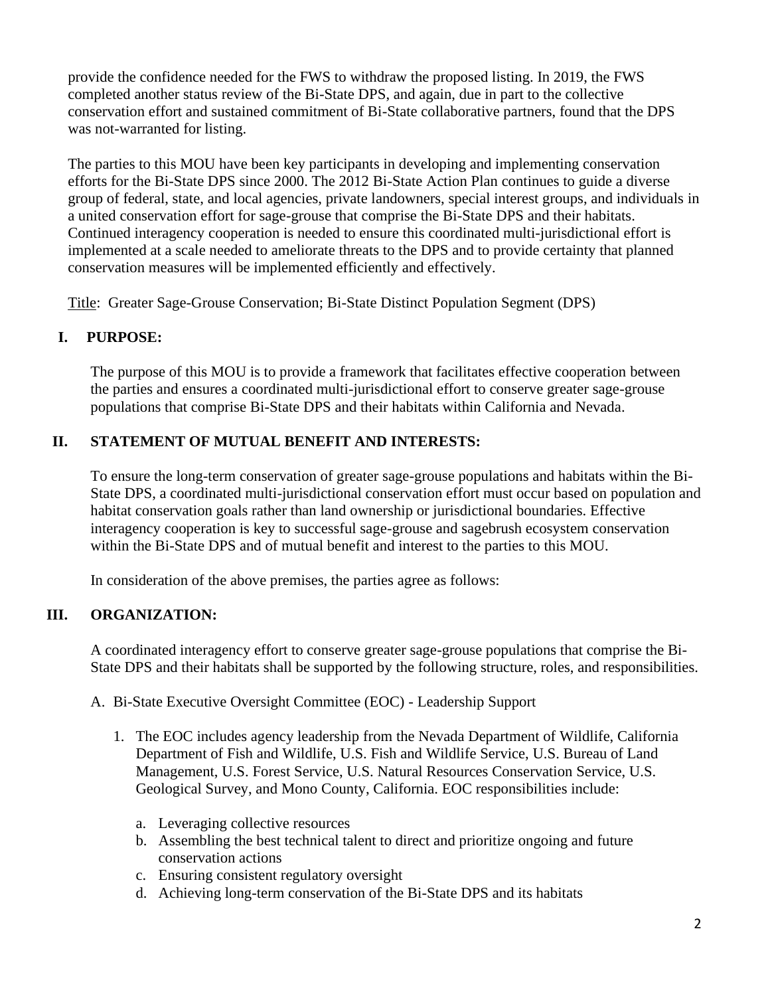provide the confidence needed for the FWS to withdraw the proposed listing. In 2019, the FWS completed another status review of the Bi-State DPS, and again, due in part to the collective conservation effort and sustained commitment of Bi-State collaborative partners, found that the DPS was not-warranted for listing.

The parties to this MOU have been key participants in developing and implementing conservation efforts for the Bi-State DPS since 2000. The 2012 Bi-State Action Plan continues to guide a diverse group of federal, state, and local agencies, private landowners, special interest groups, and individuals in a united conservation effort for sage-grouse that comprise the Bi-State DPS and their habitats. Continued interagency cooperation is needed to ensure this coordinated multi-jurisdictional effort is implemented at a scale needed to ameliorate threats to the DPS and to provide certainty that planned conservation measures will be implemented efficiently and effectively.

Title: Greater Sage-Grouse Conservation; Bi-State Distinct Population Segment (DPS)

# **I. PURPOSE:**

The purpose of this MOU is to provide a framework that facilitates effective cooperation between the parties and ensures a coordinated multi-jurisdictional effort to conserve greater sage-grouse populations that comprise Bi-State DPS and their habitats within California and Nevada.

## **II. STATEMENT OF MUTUAL BENEFIT AND INTERESTS:**

To ensure the long-term conservation of greater sage-grouse populations and habitats within the Bi-State DPS, a coordinated multi-jurisdictional conservation effort must occur based on population and habitat conservation goals rather than land ownership or jurisdictional boundaries. Effective interagency cooperation is key to successful sage-grouse and sagebrush ecosystem conservation within the Bi-State DPS and of mutual benefit and interest to the parties to this MOU.

In consideration of the above premises, the parties agree as follows:

## **III. ORGANIZATION:**

A coordinated interagency effort to conserve greater sage-grouse populations that comprise the Bi-State DPS and their habitats shall be supported by the following structure, roles, and responsibilities.

- A. Bi-State Executive Oversight Committee (EOC) Leadership Support
	- 1. The EOC includes agency leadership from the Nevada Department of Wildlife, California Department of Fish and Wildlife, U.S. Fish and Wildlife Service, U.S. Bureau of Land Management, U.S. Forest Service, U.S. Natural Resources Conservation Service, U.S. Geological Survey, and Mono County, California. EOC responsibilities include:
		- a. Leveraging collective resources
		- b. Assembling the best technical talent to direct and prioritize ongoing and future conservation actions
		- c. Ensuring consistent regulatory oversight
		- d. Achieving long-term conservation of the Bi-State DPS and its habitats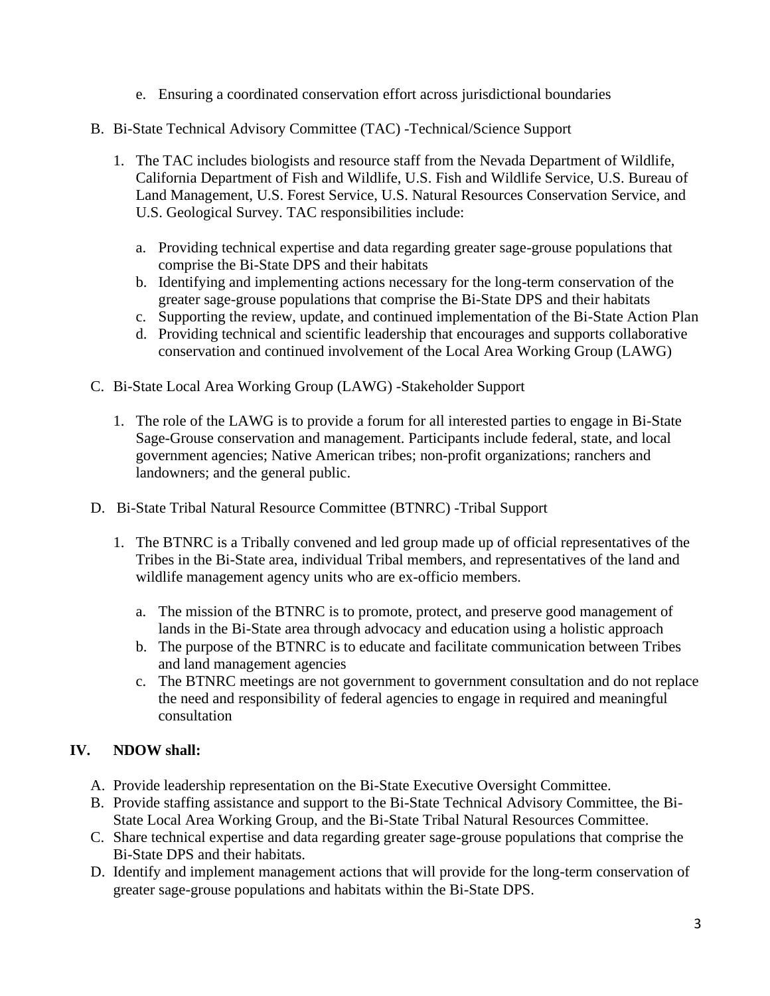- e. Ensuring a coordinated conservation effort across jurisdictional boundaries
- B. Bi-State Technical Advisory Committee (TAC) -Technical/Science Support
	- 1. The TAC includes biologists and resource staff from the Nevada Department of Wildlife, California Department of Fish and Wildlife, U.S. Fish and Wildlife Service, U.S. Bureau of Land Management, U.S. Forest Service, U.S. Natural Resources Conservation Service, and U.S. Geological Survey. TAC responsibilities include:
		- a. Providing technical expertise and data regarding greater sage-grouse populations that comprise the Bi-State DPS and their habitats
		- b. Identifying and implementing actions necessary for the long-term conservation of the greater sage-grouse populations that comprise the Bi-State DPS and their habitats
		- c. Supporting the review, update, and continued implementation of the Bi-State Action Plan
		- d. Providing technical and scientific leadership that encourages and supports collaborative conservation and continued involvement of the Local Area Working Group (LAWG)
- C. Bi-State Local Area Working Group (LAWG) -Stakeholder Support
	- 1. The role of the LAWG is to provide a forum for all interested parties to engage in Bi-State Sage-Grouse conservation and management. Participants include federal, state, and local government agencies; Native American tribes; non-profit organizations; ranchers and landowners; and the general public.
- D. Bi-State Tribal Natural Resource Committee (BTNRC) -Tribal Support
	- 1. The BTNRC is a Tribally convened and led group made up of official representatives of the Tribes in the Bi-State area, individual Tribal members, and representatives of the land and wildlife management agency units who are ex-officio members.
		- a. The mission of the BTNRC is to promote, protect, and preserve good management of lands in the Bi-State area through advocacy and education using a holistic approach
		- b. The purpose of the BTNRC is to educate and facilitate communication between Tribes and land management agencies
		- c. The BTNRC meetings are not government to government consultation and do not replace the need and responsibility of federal agencies to engage in required and meaningful consultation

## **IV. NDOW shall:**

- A. Provide leadership representation on the Bi-State Executive Oversight Committee.
- B. Provide staffing assistance and support to the Bi-State Technical Advisory Committee, the Bi- State Local Area Working Group, and the Bi-State Tribal Natural Resources Committee.
- C. Share technical expertise and data regarding greater sage-grouse populations that comprise the Bi-State DPS and their habitats.
- D. Identify and implement management actions that will provide for the long-term conservation of greater sage-grouse populations and habitats within the Bi-State DPS.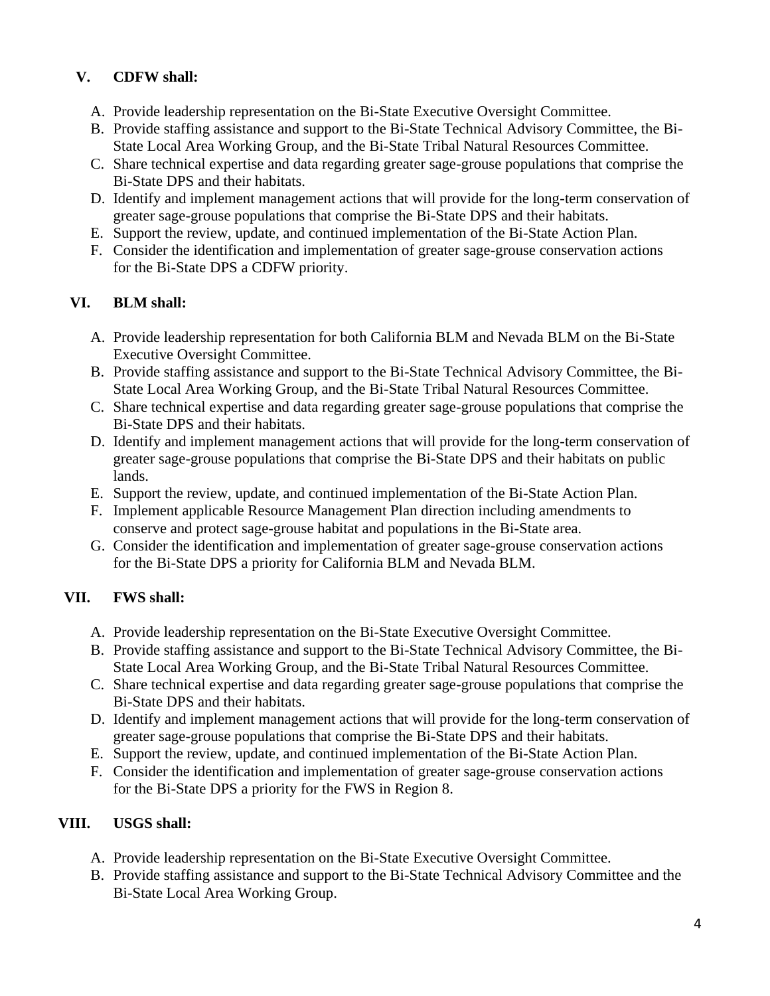# **V. CDFW shall:**

- A. Provide leadership representation on the Bi-State Executive Oversight Committee.
- B. Provide staffing assistance and support to the Bi-State Technical Advisory Committee, the Bi- State Local Area Working Group, and the Bi-State Tribal Natural Resources Committee.
- C. Share technical expertise and data regarding greater sage-grouse populations that comprise the Bi-State DPS and their habitats.
- D. Identify and implement management actions that will provide for the long-term conservation of greater sage-grouse populations that comprise the Bi-State DPS and their habitats.
- E. Support the review, update, and continued implementation of the Bi-State Action Plan.
- F. Consider the identification and implementation of greater sage-grouse conservation actions for the Bi-State DPS a CDFW priority.

# **VI. BLM shall:**

- A. Provide leadership representation for both California BLM and Nevada BLM on the Bi-State Executive Oversight Committee.
- B. Provide staffing assistance and support to the Bi-State Technical Advisory Committee, the Bi- State Local Area Working Group, and the Bi-State Tribal Natural Resources Committee.
- C. Share technical expertise and data regarding greater sage-grouse populations that comprise the Bi-State DPS and their habitats.
- D. Identify and implement management actions that will provide for the long-term conservation of greater sage-grouse populations that comprise the Bi-State DPS and their habitats on public lands.
- E. Support the review, update, and continued implementation of the Bi-State Action Plan.
- F. Implement applicable Resource Management Plan direction including amendments to conserve and protect sage-grouse habitat and populations in the Bi-State area.
- G. Consider the identification and implementation of greater sage-grouse conservation actions for the Bi-State DPS a priority for California BLM and Nevada BLM.

# **VII. FWS shall:**

- A. Provide leadership representation on the Bi-State Executive Oversight Committee.
- B. Provide staffing assistance and support to the Bi-State Technical Advisory Committee, the Bi- State Local Area Working Group, and the Bi-State Tribal Natural Resources Committee.
- C. Share technical expertise and data regarding greater sage-grouse populations that comprise the Bi-State DPS and their habitats.
- D. Identify and implement management actions that will provide for the long-term conservation of greater sage-grouse populations that comprise the Bi-State DPS and their habitats.
- E. Support the review, update, and continued implementation of the Bi-State Action Plan.
- F. Consider the identification and implementation of greater sage-grouse conservation actions for the Bi-State DPS a priority for the FWS in Region 8.

# **VIII. USGS shall:**

- A. Provide leadership representation on the Bi-State Executive Oversight Committee.
- B. Provide staffing assistance and support to the Bi-State Technical Advisory Committee and the Bi-State Local Area Working Group.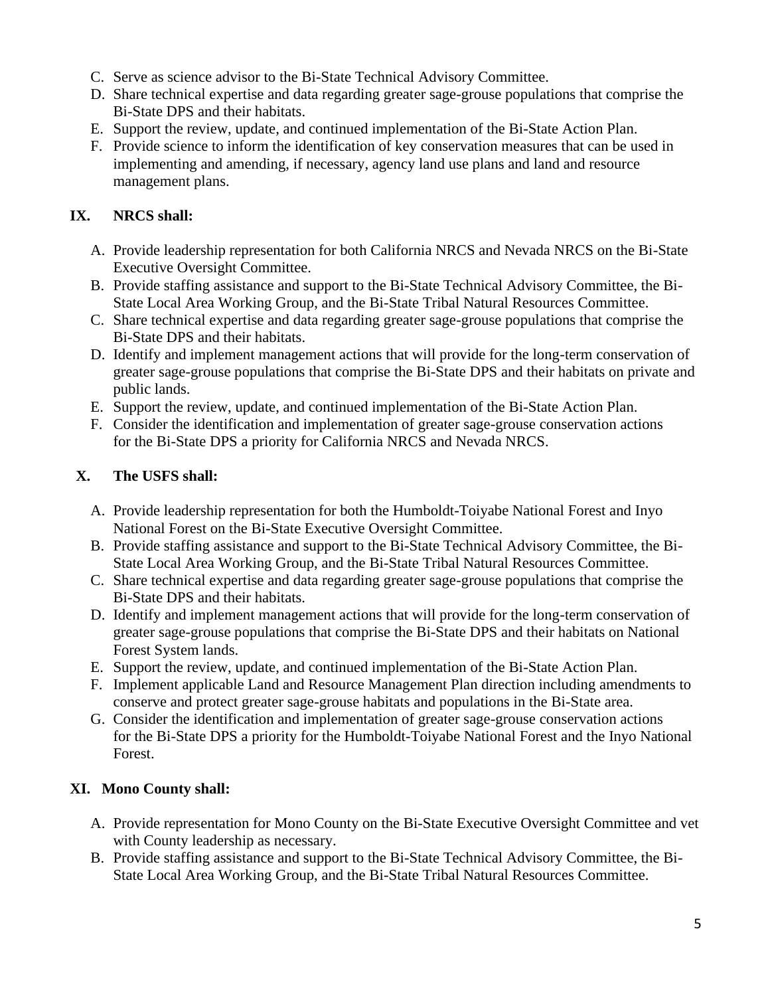- C. Serve as science advisor to the Bi-State Technical Advisory Committee.
- D. Share technical expertise and data regarding greater sage-grouse populations that comprise the Bi-State DPS and their habitats.
- E. Support the review, update, and continued implementation of the Bi-State Action Plan.
- F. Provide science to inform the identification of key conservation measures that can be used in implementing and amending, if necessary, agency land use plans and land and resource management plans.

# **IX. NRCS shall:**

- A. Provide leadership representation for both California NRCS and Nevada NRCS on the Bi-State Executive Oversight Committee.
- B. Provide staffing assistance and support to the Bi-State Technical Advisory Committee, the Bi- State Local Area Working Group, and the Bi-State Tribal Natural Resources Committee.
- C. Share technical expertise and data regarding greater sage-grouse populations that comprise the Bi-State DPS and their habitats.
- D. Identify and implement management actions that will provide for the long-term conservation of greater sage-grouse populations that comprise the Bi-State DPS and their habitats on private and public lands.
- E. Support the review, update, and continued implementation of the Bi-State Action Plan.
- F. Consider the identification and implementation of greater sage-grouse conservation actions for the Bi-State DPS a priority for California NRCS and Nevada NRCS.

# **X. The USFS shall:**

- A. Provide leadership representation for both the Humboldt-Toiyabe National Forest and Inyo National Forest on the Bi-State Executive Oversight Committee.
- B. Provide staffing assistance and support to the Bi-State Technical Advisory Committee, the Bi-State Local Area Working Group, and the Bi-State Tribal Natural Resources Committee.
- C. Share technical expertise and data regarding greater sage-grouse populations that comprise the Bi-State DPS and their habitats.
- D. Identify and implement management actions that will provide for the long-term conservation of greater sage-grouse populations that comprise the Bi-State DPS and their habitats on National Forest System lands.
- E. Support the review, update, and continued implementation of the Bi-State Action Plan.
- F. Implement applicable Land and Resource Management Plan direction including amendments to conserve and protect greater sage-grouse habitats and populations in the Bi-State area.
- G. Consider the identification and implementation of greater sage-grouse conservation actions for the Bi-State DPS a priority for the Humboldt-Toiyabe National Forest and the Inyo National Forest.

# **XI. Mono County shall:**

- A. Provide representation for Mono County on the Bi-State Executive Oversight Committee and vet with County leadership as necessary.
- B. Provide staffing assistance and support to the Bi-State Technical Advisory Committee, the Bi-State Local Area Working Group, and the Bi-State Tribal Natural Resources Committee.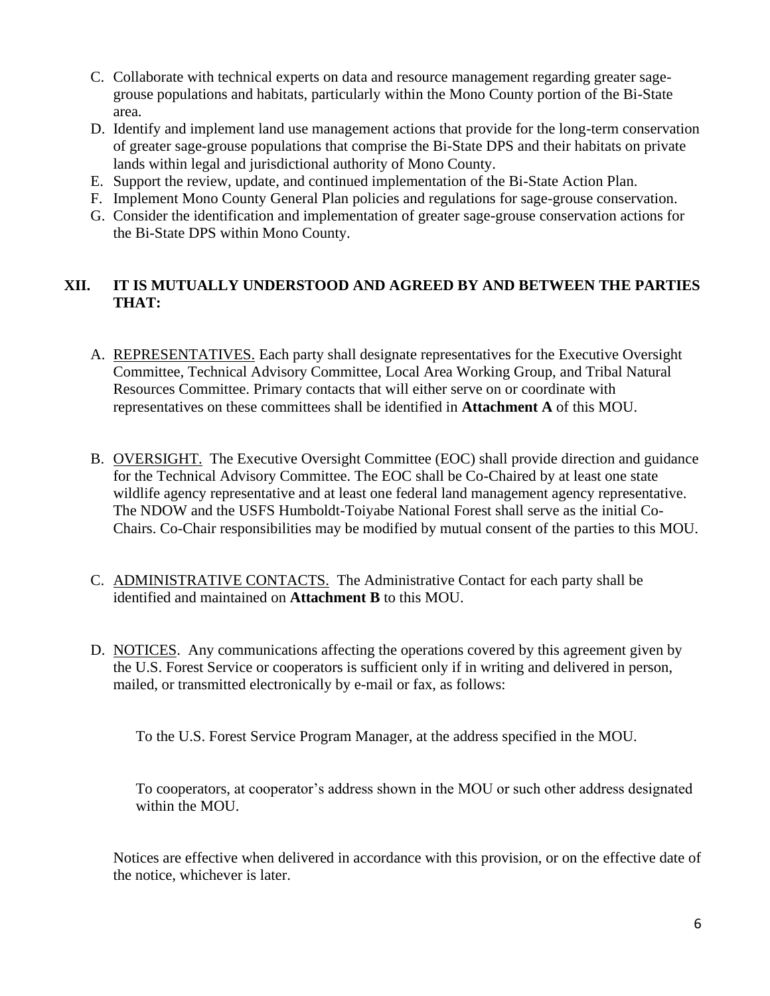- C. Collaborate with technical experts on data and resource management regarding greater sagegrouse populations and habitats, particularly within the Mono County portion of the Bi-State area.
- D. Identify and implement land use management actions that provide for the long-term conservation of greater sage-grouse populations that comprise the Bi-State DPS and their habitats on private lands within legal and jurisdictional authority of Mono County.
- E. Support the review, update, and continued implementation of the Bi-State Action Plan.
- F. Implement Mono County General Plan policies and regulations for sage-grouse conservation.
- G. Consider the identification and implementation of greater sage-grouse conservation actions for the Bi-State DPS within Mono County.

### **XII. IT IS MUTUALLY UNDERSTOOD AND AGREED BY AND BETWEEN THE PARTIES THAT:**

- A. REPRESENTATIVES. Each party shall designate representatives for the Executive Oversight Committee, Technical Advisory Committee, Local Area Working Group, and Tribal Natural Resources Committee. Primary contacts that will either serve on or coordinate with representatives on these committees shall be identified in **Attachment A** of this MOU.
- B. OVERSIGHT. The Executive Oversight Committee (EOC) shall provide direction and guidance for the Technical Advisory Committee. The EOC shall be Co-Chaired by at least one state wildlife agency representative and at least one federal land management agency representative. The NDOW and the USFS Humboldt-Toiyabe National Forest shall serve as the initial Co-Chairs. Co-Chair responsibilities may be modified by mutual consent of the parties to this MOU.
- C. ADMINISTRATIVE CONTACTS. The Administrative Contact for each party shall be identified and maintained on **Attachment B** to this MOU.
- D. NOTICES. Any communications affecting the operations covered by this agreement given by the U.S. Forest Service or cooperators is sufficient only if in writing and delivered in person, mailed, or transmitted electronically by e-mail or fax, as follows:

To the U.S. Forest Service Program Manager, at the address specified in the MOU.

To cooperators, at cooperator's address shown in the MOU or such other address designated within the MOU.

Notices are effective when delivered in accordance with this provision, or on the effective date of the notice, whichever is later.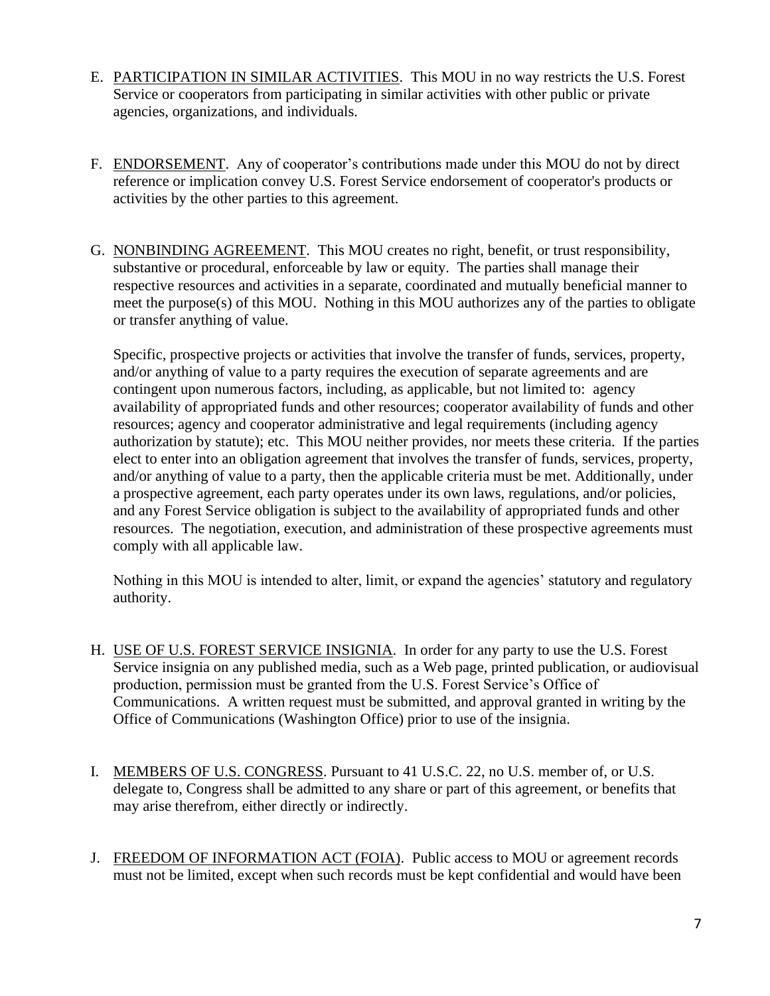- E. PARTICIPATION IN SIMILAR ACTIVITIES. This MOU in no way restricts the U.S. Forest Service or cooperators from participating in similar activities with other public or private agencies, organizations, and individuals.
- F. ENDORSEMENT. Any of cooperator's contributions made under this MOU do not by direct reference or implication convey U.S. Forest Service endorsement of cooperator's products or activities by the other parties to this agreement.
- G. NONBINDING AGREEMENT. This MOU creates no right, benefit, or trust responsibility, substantive or procedural, enforceable by law or equity. The parties shall manage their respective resources and activities in a separate, coordinated and mutually beneficial manner to meet the purpose(s) of this MOU. Nothing in this MOU authorizes any of the parties to obligate or transfer anything of value.

Specific, prospective projects or activities that involve the transfer of funds, services, property, and/or anything of value to a party requires the execution of separate agreements and are contingent upon numerous factors, including, as applicable, but not limited to: agency availability of appropriated funds and other resources; cooperator availability of funds and other resources; agency and cooperator administrative and legal requirements (including agency authorization by statute); etc. This MOU neither provides, nor meets these criteria. If the parties elect to enter into an obligation agreement that involves the transfer of funds, services, property, and/or anything of value to a party, then the applicable criteria must be met. Additionally, under a prospective agreement, each party operates under its own laws, regulations, and/or policies, and any Forest Service obligation is subject to the availability of appropriated funds and other resources. The negotiation, execution, and administration of these prospective agreements must comply with all applicable law.

Nothing in this MOU is intended to alter, limit, or expand the agencies' statutory and regulatory authority.

- H. USE OF U.S. FOREST SERVICE INSIGNIA. In order for any party to use the U.S. Forest Service insignia on any published media, such as a Web page, printed publication, or audiovisual production, permission must be granted from the U.S. Forest Service's Office of Communications. A written request must be submitted, and approval granted in writing by the Office of Communications (Washington Office) prior to use of the insignia.
- I. MEMBERS OF U.S. CONGRESS. Pursuant to 41 U.S.C. 22, no U.S. member of, or U.S. delegate to, Congress shall be admitted to any share or part of this agreement, or benefits that may arise therefrom, either directly or indirectly.
- J. FREEDOM OF INFORMATION ACT (FOIA). Public access to MOU or agreement records must not be limited, except when such records must be kept confidential and would have been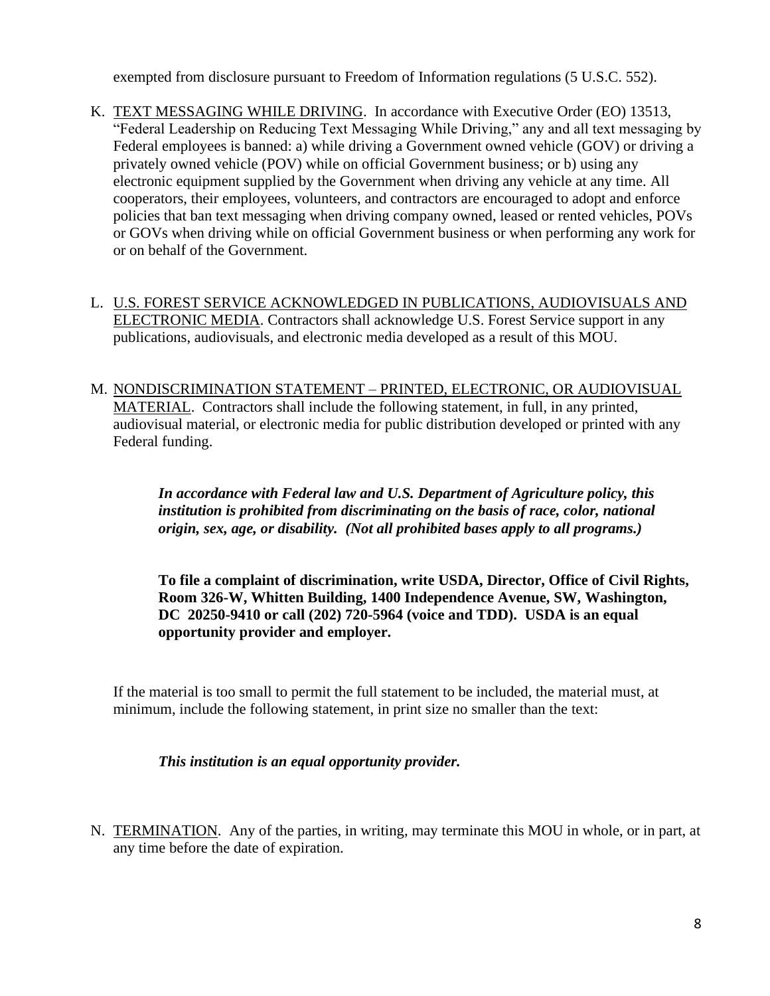exempted from disclosure pursuant to Freedom of Information regulations (5 U.S.C. 552).

- K. TEXT MESSAGING WHILE DRIVING. In accordance with Executive Order (EO) 13513, "Federal Leadership on Reducing Text Messaging While Driving," any and all text messaging by Federal employees is banned: a) while driving a Government owned vehicle (GOV) or driving a privately owned vehicle (POV) while on official Government business; or b) using any electronic equipment supplied by the Government when driving any vehicle at any time. All cooperators, their employees, volunteers, and contractors are encouraged to adopt and enforce policies that ban text messaging when driving company owned, leased or rented vehicles, POVs or GOVs when driving while on official Government business or when performing any work for or on behalf of the Government.
- L. U.S. FOREST SERVICE ACKNOWLEDGED IN PUBLICATIONS, AUDIOVISUALS AND ELECTRONIC MEDIA. Contractors shall acknowledge U.S. Forest Service support in any publications, audiovisuals, and electronic media developed as a result of this MOU.
- M. NONDISCRIMINATION STATEMENT PRINTED, ELECTRONIC, OR AUDIOVISUAL MATERIAL. Contractors shall include the following statement, in full, in any printed, audiovisual material, or electronic media for public distribution developed or printed with any Federal funding.

*In accordance with Federal law and U.S. Department of Agriculture policy, this institution is prohibited from discriminating on the basis of race, color, national origin, sex, age, or disability. (Not all prohibited bases apply to all programs.)*

**To file a complaint of discrimination, write USDA, Director, Office of Civil Rights, Room 326-W, Whitten Building, 1400 Independence Avenue, SW, Washington, DC 20250-9410 or call (202) 720-5964 (voice and TDD). USDA is an equal opportunity provider and employer.**

If the material is too small to permit the full statement to be included, the material must, at minimum, include the following statement, in print size no smaller than the text:

### *This institution is an equal opportunity provider.*

N. TERMINATION. Any of the parties, in writing, may terminate this MOU in whole, or in part, at any time before the date of expiration.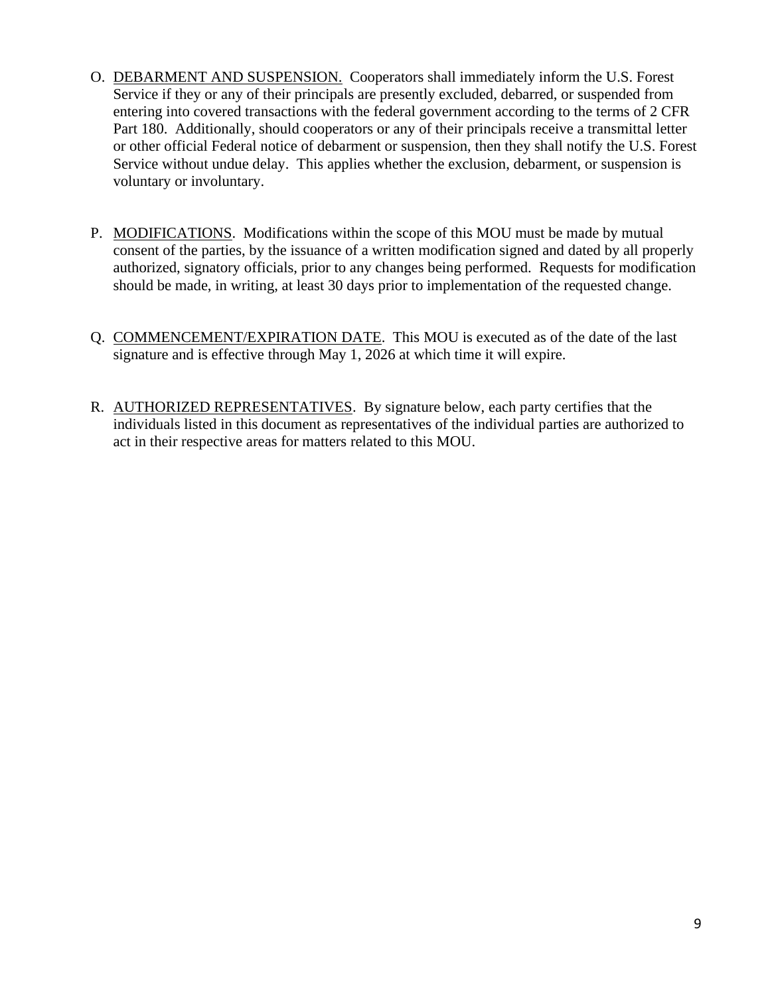- O. DEBARMENT AND SUSPENSION. Cooperators shall immediately inform the U.S. Forest Service if they or any of their principals are presently excluded, debarred, or suspended from entering into covered transactions with the federal government according to the terms of 2 CFR Part 180. Additionally, should cooperators or any of their principals receive a transmittal letter or other official Federal notice of debarment or suspension, then they shall notify the U.S. Forest Service without undue delay. This applies whether the exclusion, debarment, or suspension is voluntary or involuntary.
- P. MODIFICATIONS. Modifications within the scope of this MOU must be made by mutual consent of the parties, by the issuance of a written modification signed and dated by all properly authorized, signatory officials, prior to any changes being performed. Requests for modification should be made, in writing, at least 30 days prior to implementation of the requested change.
- Q. COMMENCEMENT/EXPIRATION DATE. This MOU is executed as of the date of the last signature and is effective through May 1, 2026 at which time it will expire.
- R. AUTHORIZED REPRESENTATIVES. By signature below, each party certifies that the individuals listed in this document as representatives of the individual parties are authorized to act in their respective areas for matters related to this MOU.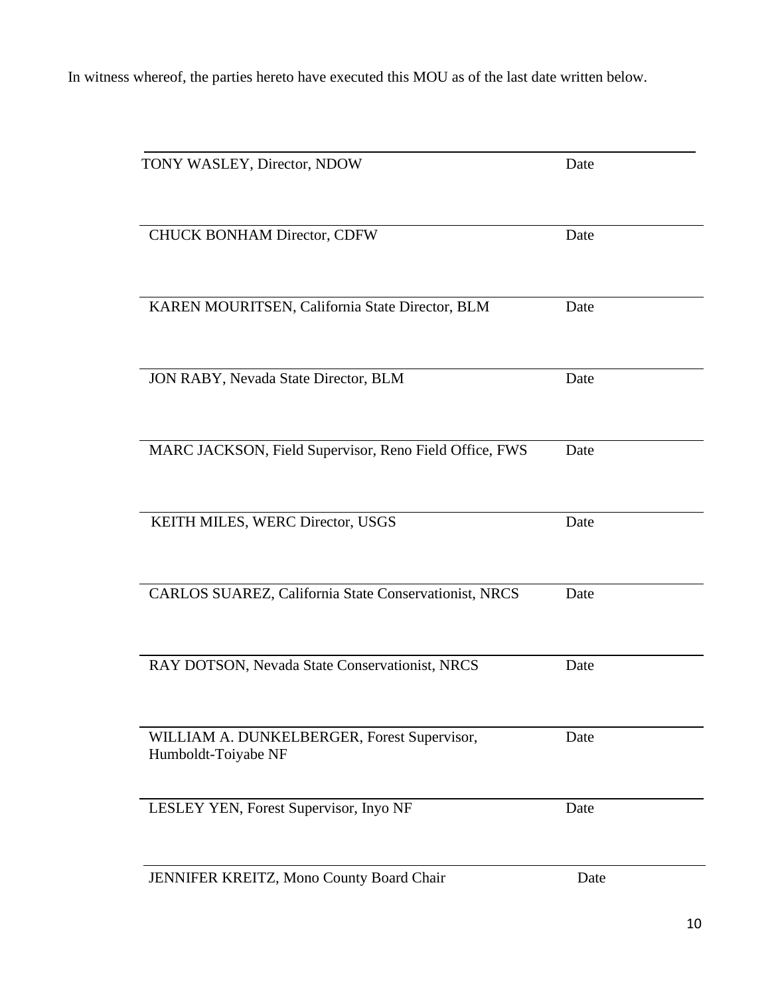In witness whereof, the parties hereto have executed this MOU as of the last date written below.

| TONY WASLEY, Director, NDOW                                        | Date |
|--------------------------------------------------------------------|------|
| CHUCK BONHAM Director, CDFW                                        | Date |
| KAREN MOURITSEN, California State Director, BLM                    | Date |
| JON RABY, Nevada State Director, BLM                               | Date |
| MARC JACKSON, Field Supervisor, Reno Field Office, FWS             | Date |
| KEITH MILES, WERC Director, USGS                                   | Date |
| CARLOS SUAREZ, California State Conservationist, NRCS              | Date |
| RAY DOTSON, Nevada State Conservationist, NRCS                     | Date |
| WILLIAM A. DUNKELBERGER, Forest Supervisor,<br>Humboldt-Toiyabe NF | Date |
| LESLEY YEN, Forest Supervisor, Inyo NF                             | Date |
| JENNIFER KREITZ, Mono County Board Chair                           | Date |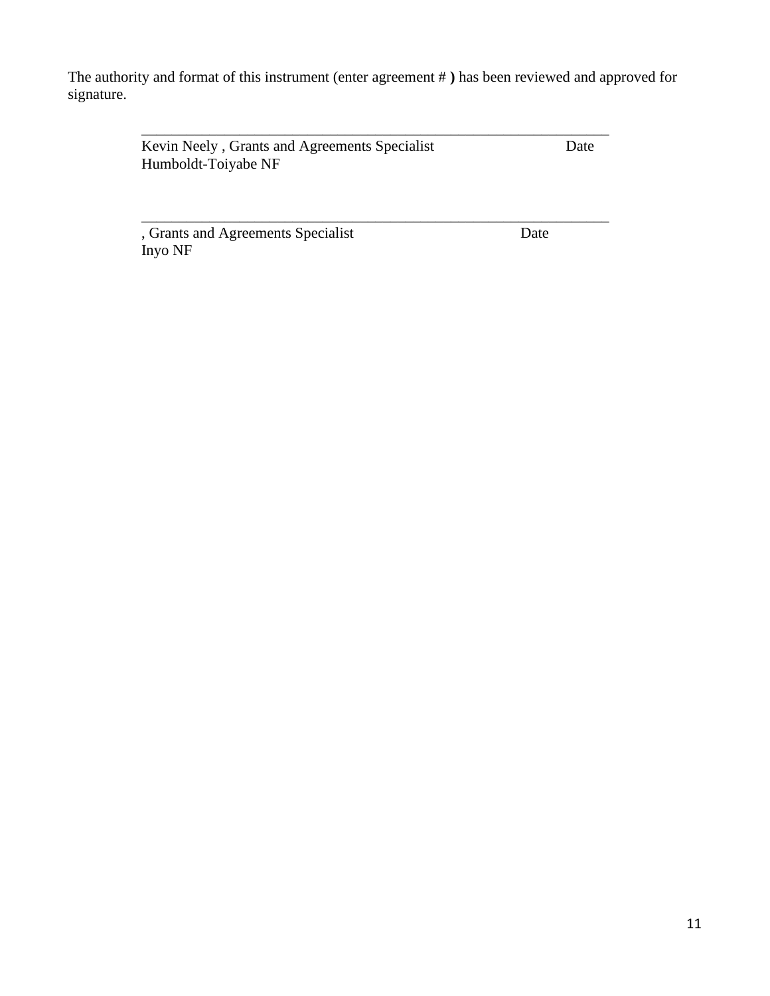The authority and format of this instrument (enter agreement # **)** has been reviewed and approved for signature.

\_\_\_\_\_\_\_\_\_\_\_\_\_\_\_\_\_\_\_\_\_\_\_\_\_\_\_\_\_\_\_\_\_\_\_\_\_\_\_\_\_\_\_\_\_\_\_\_\_\_\_\_\_\_\_\_\_\_\_\_\_\_

\_\_\_\_\_\_\_\_\_\_\_\_\_\_\_\_\_\_\_\_\_\_\_\_\_\_\_\_\_\_\_\_\_\_\_\_\_\_\_\_\_\_\_\_\_\_\_\_\_\_\_\_\_\_\_\_\_\_\_\_\_\_

Kevin Neely, Grants and Agreements Specialist Date Humboldt-Toiyabe NF

, Grants and Agreements Specialist Date Inyo NF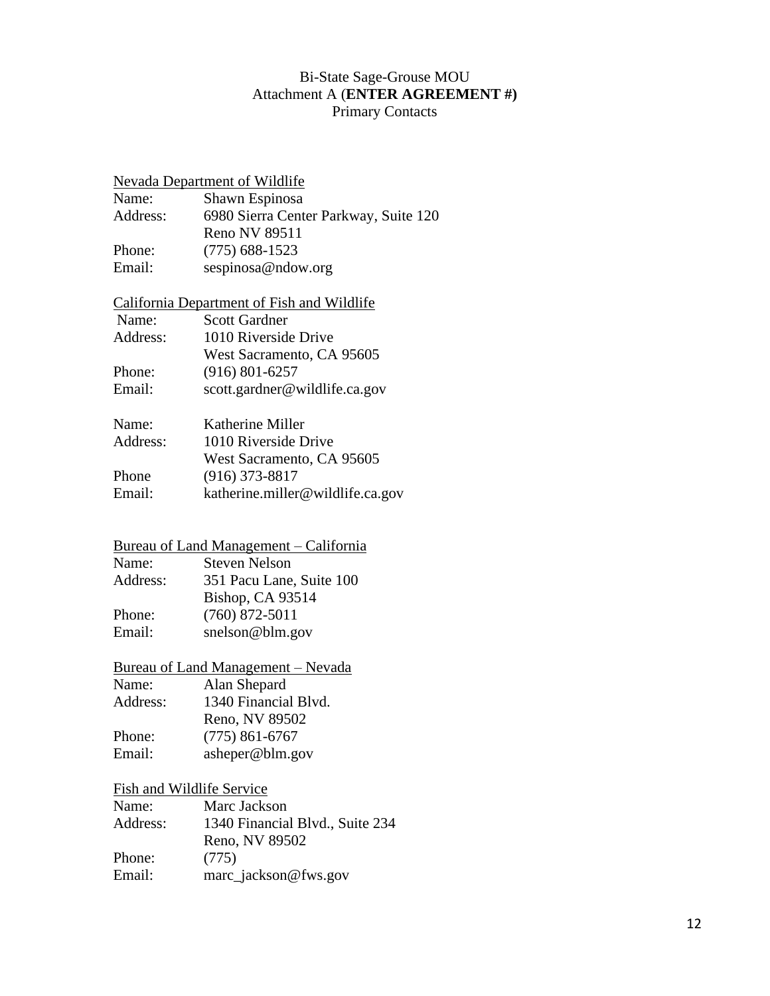### Bi-State Sage-Grouse MOU Attachment A (**ENTER AGREEMENT #)** Primary Contacts

#### Nevada Department of Wildlife

| Name:    | Shawn Espinosa                        |
|----------|---------------------------------------|
| Address: | 6980 Sierra Center Parkway, Suite 120 |
|          | Reno NV 89511                         |
| Phone:   | $(775)$ 688-1523                      |
| Email:   | sespinosa@ndow.org                    |

### California Department of Fish and Wildlife

| Name:    | <b>Scott Gardner</b>          |
|----------|-------------------------------|
| Address: | 1010 Riverside Drive          |
|          | West Sacramento, CA 95605     |
| Phone:   | $(916) 801 - 6257$            |
| Email:   | scott.gardner@wildlife.ca.gov |

| Name:    | Katherine Miller                 |
|----------|----------------------------------|
| Address: | 1010 Riverside Drive             |
|          | West Sacramento, CA 95605        |
| Phone    | $(916)$ 373-8817                 |
| Email:   | katherine.miller@wildlife.ca.gov |
|          |                                  |

# Bureau of Land Management – California

| Name:    | <b>Steven Nelson</b>     |
|----------|--------------------------|
| Address: | 351 Pacu Lane, Suite 100 |
|          | Bishop, CA 93514         |
| Phone:   | $(760)$ 872-5011         |
| Email:   | snelson@blm.gov          |

# Bureau of Land Management – Nevada

| Name:    | Alan Shepard         |
|----------|----------------------|
| Address: | 1340 Financial Blvd. |
|          | Reno, NV 89502       |
| Phone:   | $(775)$ 861-6767     |
| Email:   | asheper@blm.gov      |

### Fish and Wildlife Service

| Name:    | Marc Jackson                    |
|----------|---------------------------------|
| Address: | 1340 Financial Blvd., Suite 234 |
|          | Reno, NV 89502                  |
| Phone:   | (775)                           |
| Email:   | marc_jackson@fws.gov            |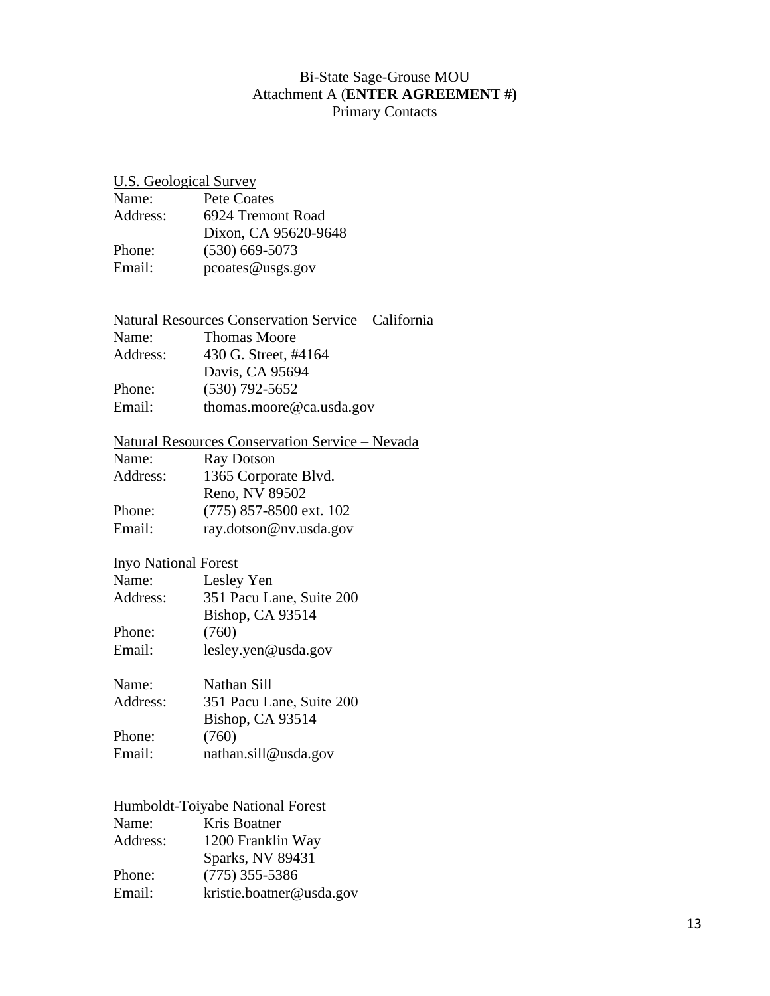### Bi-State Sage-Grouse MOU Attachment A (**ENTER AGREEMENT #)** Primary Contacts

### U.S. Geological Survey

| Name:    | Pete Coates          |
|----------|----------------------|
| Address: | 6924 Tremont Road    |
|          | Dixon, CA 95620-9648 |
| Phone:   | $(530)$ 669-5073     |
| Email:   | pcoates @ usgs.gov   |

#### Natural Resources Conservation Service – California Name: Thomas Moore<br>Address: 430 G. Street. #4 430 G. Street, #4164

|        | Davis, CA 95694          |
|--------|--------------------------|
| Phone: | $(530)$ 792-5652         |
| Email: | thomas.moore@ca.usda.gov |

#### Natural Resources Conservation Service – Nevada

| <b>Ray Dotson</b>         |
|---------------------------|
| 1365 Corporate Blvd.      |
| Reno, NV 89502            |
| $(775)$ 857-8500 ext. 102 |
| ray.dotson@nv.usda.gov    |
|                           |

## Inyo National Forest

| Name:    | Lesley Yen               |
|----------|--------------------------|
| Address: | 351 Pacu Lane, Suite 200 |
|          | Bishop, CA 93514         |
| Phone:   | (760)                    |
| Email:   | lesley.yen@usda.gov      |

| Name:    | Nathan Sill              |
|----------|--------------------------|
| Address: | 351 Pacu Lane, Suite 200 |
|          | Bishop, CA 93514         |
| Phone:   | (760)                    |
| Email:   | nathan.sill@usda.gov     |

## Humboldt-Toiyabe National Forest

| Kris Boatner             |
|--------------------------|
| 1200 Franklin Way        |
| Sparks, NV 89431         |
| $(775)$ 355-5386         |
| kristie.boatner@usda.gov |
|                          |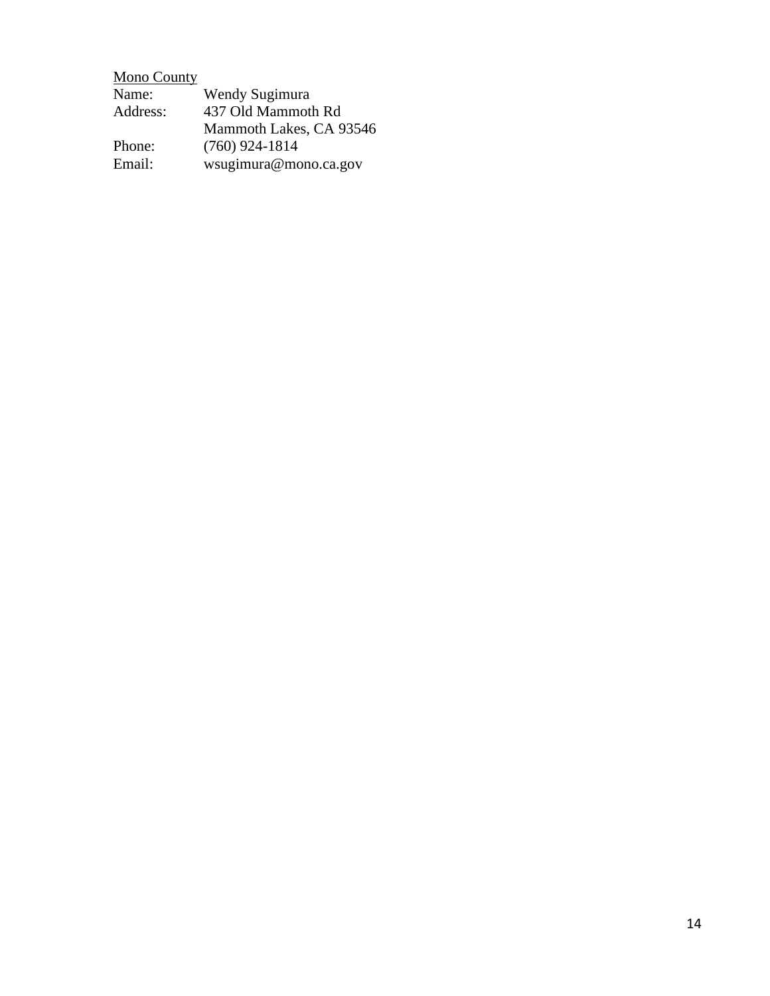| <b>Mono County</b> |                         |
|--------------------|-------------------------|
| Name:              | Wendy Sugimura          |
| Address:           | 437 Old Mammoth Rd      |
|                    | Mammoth Lakes, CA 93546 |
| Phone:             | $(760)$ 924-1814        |
| Email:             | wsugimura@mono.ca.gov   |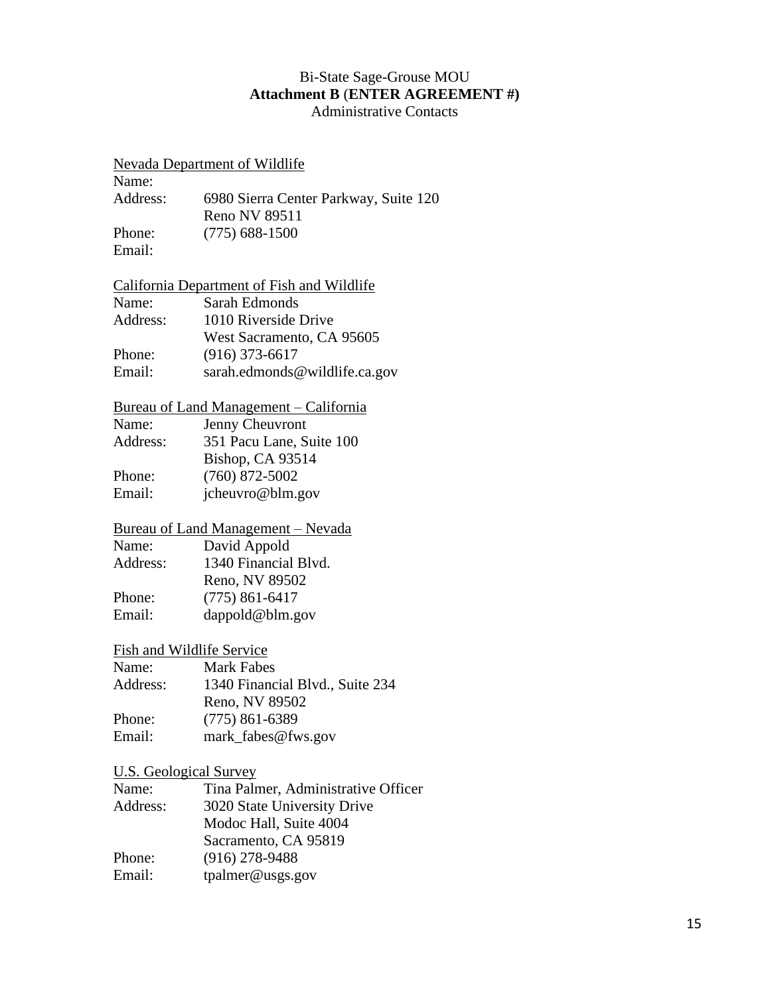#### Bi-State Sage-Grouse MOU **Attachment B** (**ENTER AGREEMENT #)** Administrative Contacts

#### Nevada Department of Wildlife

| Name:    |                                       |
|----------|---------------------------------------|
| Address: | 6980 Sierra Center Parkway, Suite 120 |
|          | Reno NV 89511                         |
| Phone:   | $(775)$ 688-1500                      |
| Email:   |                                       |

### California Department of Fish and Wildlife

| Name:    | Sarah Edmonds                 |
|----------|-------------------------------|
| Address: | 1010 Riverside Drive          |
|          | West Sacramento, CA 95605     |
| Phone:   | $(916)$ 373-6617              |
| Email:   | sarah.edmonds@wildlife.ca.gov |
|          |                               |

#### Bureau of Land Management – California

| Name: | Jenny Cheuvront |
|-------|-----------------|
|-------|-----------------|

Address: 351 Pacu Lane, Suite 100 Bishop, CA 93514 Phone: (760) 872-5002 Email: jcheuvro@blm.gov

## Bureau of Land Management – Nevada

| Name:    | David Appold         |
|----------|----------------------|
| Address: | 1340 Financial Blvd. |
|          | Reno, NV 89502       |
| Phone:   | $(775) 861 - 6417$   |
| Email:   | dappold@blm.gov      |

## Fish and Wildlife Service

| Name:    | Mark Fabes                      |
|----------|---------------------------------|
| Address: | 1340 Financial Blvd., Suite 234 |
|          | Reno, NV 89502                  |
| Phone:   | $(775)$ 861-6389                |
| Email:   | mark_fabes@fws.gov              |

#### U.S. Geological Survey

| Name:    | Tina Palmer, Administrative Officer |
|----------|-------------------------------------|
| Address: | 3020 State University Drive         |
|          | Modoc Hall, Suite 4004              |
|          | Sacramento, CA 95819                |
| Phone:   | $(916)$ 278-9488                    |
| Email:   | tpalmer@usgs.gov                    |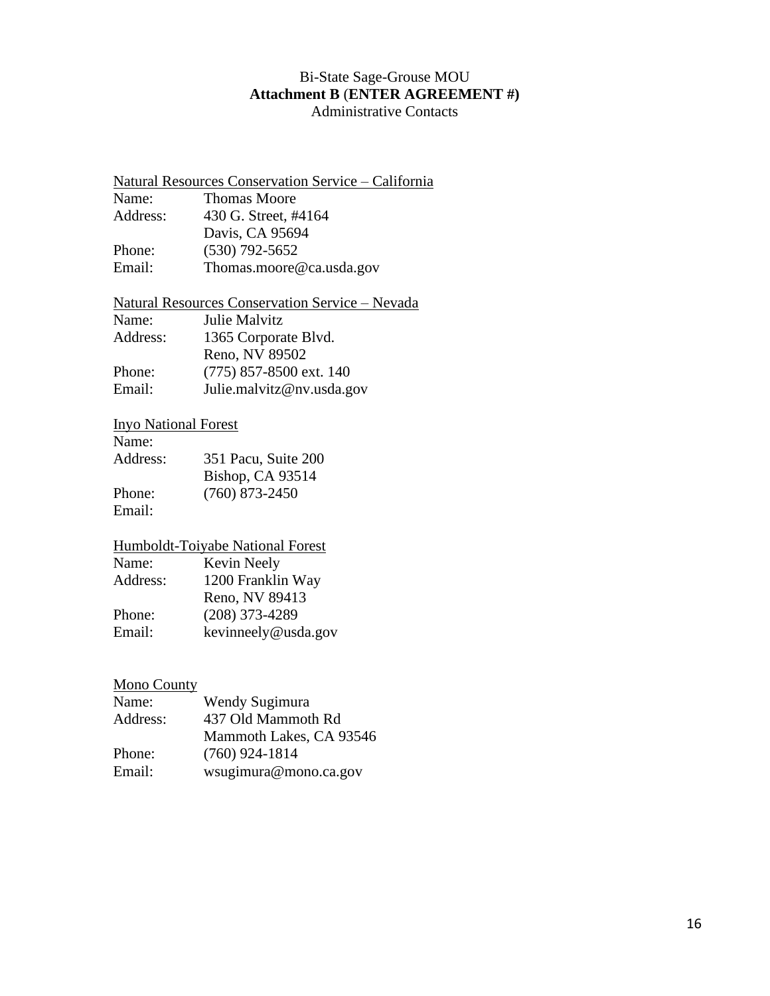#### Bi-State Sage-Grouse MOU **Attachment B** (**ENTER AGREEMENT #)** Administrative Contacts

### Natural Resources Conservation Service – California Name: Thomas Moore Address: 430 G. Street, #4164 Davis, CA 95694

Phone: (530) 792-5652 Email: Thomas.moore@ca.usda.gov

## Natural Resources Conservation Service – Nevada

| Julie Malvitz             |
|---------------------------|
| 1365 Corporate Blvd.      |
| Reno, NV 89502            |
| $(775)$ 857-8500 ext. 140 |
| Julie.malvitz@nv.usda.gov |
|                           |

## Inyo National Forest

Name:

| Address: | 351 Pacu, Suite 200 |
|----------|---------------------|
|          | Bishop, CA 93514    |
| Phone:   | $(760)$ 873-2450    |
| Email:   |                     |

### Humboldt-Toiyabe National Forest

| Kevin Neely         |
|---------------------|
| 1200 Franklin Way   |
| Reno, NV 89413      |
| $(208)$ 373-4289    |
| kevinneely@usda.gov |
|                     |

### Mono County

| Name:    | Wendy Sugimura          |
|----------|-------------------------|
| Address: | 437 Old Mammoth Rd      |
|          | Mammoth Lakes, CA 93546 |
| Phone:   | $(760)$ 924-1814        |
| Email:   | wsugimura@mono.ca.gov   |